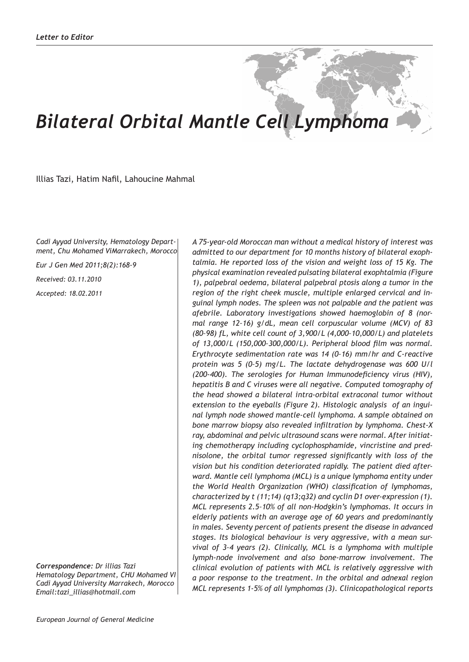## *Bilateral Orbital Mantle Cell Lymphoma*

Illias Tazi, Hatim Nafil, Lahoucine Mahmal

*Cadi Ayyad University, Hematology Department, Chu Mohamed ViMarrakech, Morocco*

*Eur J Gen Med 2011;8(2):168-9*

*Received: 03.11.2010*

*Accepted: 18.02.2011*

*Correspondence: Dr illias Tazi Hematology Department, CHU Mohamed VI Cadi Ayyad University Marrakech, Morocco Email:tazi\_illias@hotmail.com* 

*A 75-year-old Moroccan man without a medical history of interest was admitted to our department for 10 months history of bilateral exophtalmia. He reported loss of the vision and weight loss of 15 Kg. The physical examination revealed pulsating bilateral exophtalmia (Figure 1), palpebral oedema, bilateral palpebral ptosis along a tumor in the region of the right cheek muscle, multiple enlarged cervical and inguinal lymph nodes. The spleen was not palpable and the patient was afebrile. Laboratory investigations showed haemoglobin of 8 (normal range 12–16) g/dL, mean cell corpuscular volume (MCV) of 83 (80–98) fL, white cell count of 3,900/L (4,000–10,000/L) and platelets of 13,000/L (150,000–300,000/L). Peripheral blood film was normal. Erythrocyte sedimentation rate was 14 (0–16) mm/hr and C-reactive protein was 5 (0–5) mg/L. The lactate dehydrogenase was 600 U/l (200-400). The serologies for Human Immunodeficiency virus (HIV), hepatitis B and C viruses were all negative. Computed tomography of the head showed a bilateral intra-orbital extraconal tumor without extension to the eyeballs (Figure 2). Histologic analysis of an inguinal lymph node showed mantle-cell lymphoma. A sample obtained on bone marrow biopsy also revealed infiltration by lymphoma. Chest-X ray, abdominal and pelvic ultrasound scans were normal. After initiating chemotherapy including cyclophosphamide, vincristine and prednisolone, the orbital tumor regressed significantly with loss of the vision but his condition deteriorated rapidly. The patient died afterward. Mantle cell lymphoma (MCL) is a unique lymphoma entity under the World Health Organization (WHO) classification of lymphomas, characterized by t (11;14) (q13;q32) and cyclin D1 over-expression (1). MCL represents 2.5–10% of all non-Hodgkin's lymphomas. It occurs in elderly patients with an average age of 60 years and predominantly in males. Seventy percent of patients present the disease in advanced stages. Its biological behaviour is very aggressive, with a mean survival of 3–4 years (2). Clinically, MCL is a lymphoma with multiple lymph-node involvement and also bone-marrow involvement. The clinical evolution of patients with MCL is relatively aggressive with a poor response to the treatment. In the orbital and adnexal region MCL represents 1-5% of all lymphomas (3). Clinicopathological reports*